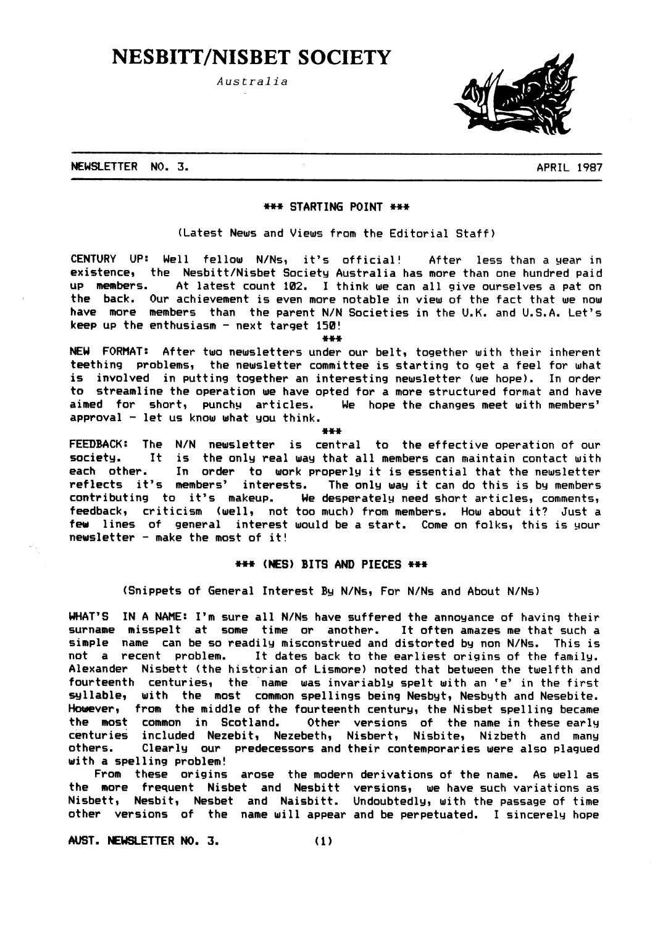# **NESBITT/NISBET SOCIETY**

Australia



NEWSLETTER NO. 3.

**APRIL 1987** 

#### \*\*\* STARTING POINT \*\*\*

(Latest News and Views from the Editorial Staff)

CENTURY UP: Well fellow N/Ns, it's official! After less than a year in existence, the Nesbitt/Nisbet Society Australia has more than one hundred paid up members. At latest count 102. I think we can all give ourselves a pat on the back. Our achievement is even more notable in view of the fact that we now have more members than the parent N/N Societies in the U.K. and U.S.A. Let's keep up the enthusiasm - next target 150!

\*\*\*

NEW FORMAT: After two newsletters under our belt, together with their inherent teething problems, the newsletter committee is starting to get a feel for what is involved in putting together an interesting newsletter (we hope). In order to streamline the operation we have opted for a more structured format and have aimed for short, punchy articles. We hope the changes meet with members' approval - let us know what you think.

FEEDBACK: The N/N newsletter is central to the effective operation of our society. It is the only real way that all members can maintain contact with each other. In order to work properly it is essential that the newsletter reflects it's members' interests. The only way it can do this is by members contributing to it's makeup. We desperately need short articles, comments, feedback, criticism (well, not too much) from members. How about it? Just a few lines of general interest would be a start. Come on folks, this is your newsletter - make the most of  $it!$ 

## \*\*\* (NES) BITS AND PIECES \*\*\*

(Snippets of General Interest By N/Ns, For N/Ns and About N/Ns)

WHAT'S IN A NAME: I'm sure all N/Ns have suffered the annoyance of having their surname misspelt at some time or another. It often amazes me that such a simple name can be so readily misconstrued and distorted by non N/Ns. This is not a recent problem. It dates back to the earliest origins of the family. Alexander Nisbett (the historian of Lismore) noted that between the twelfth and fourteenth centuries, the name was invariably spelt with an 'e' in the first syllable, with the most common spellings being Nesbyt, Nesbyth and Nesebite. However, from the middle of the fourteenth century, the Nisbet spelling became the most common in Scotland. Other versions of the name in these early centuries included Nezebit, Nezebeth, Nisbert, Nisbite, Nizbeth and many others. Clearly our predecessors and their contemporaries were also plagued with a spelling problem!

From these origins arose the modern derivations of the name. As well as the more frequent Nisbet and Nesbitt versions, we have such variations as Nisbett, Nesbit, Nesbet and Naisbitt. Undoubtedly, with the passage of time other versions of the name will appear and be perpetuated. I sincerely hope

AUST. NEWSLETTER NO. 3.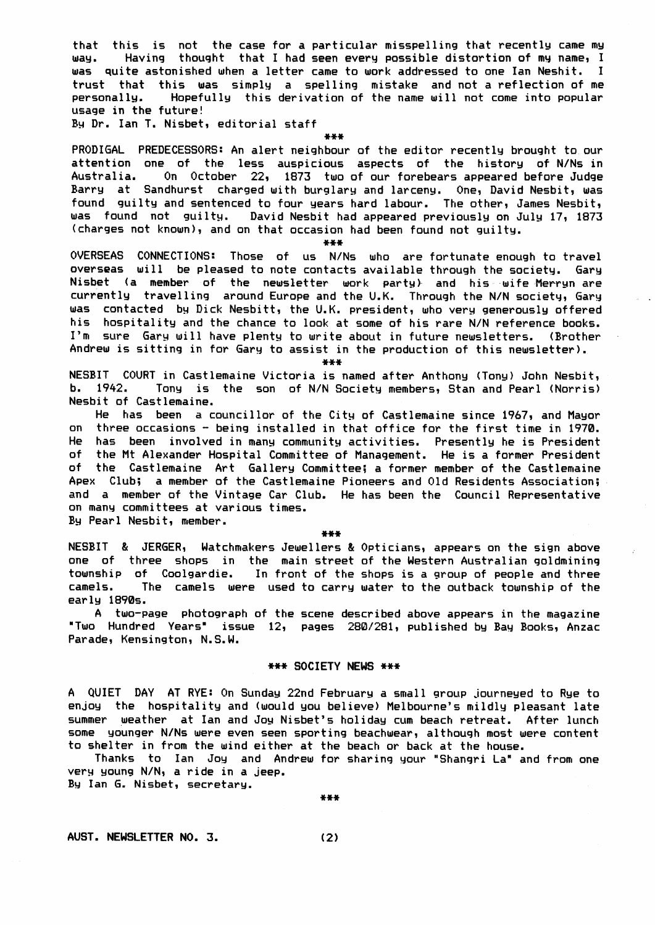that this is not the case for a particular misspelling that recently came my Having thought that I had seen every possible distortion of my name, I way. was quite astonished when a letter came to work addressed to one Ian Neshit. I trust that this was simply a spelling mistake and not a reflection of me Hopefully this derivation of the name will not come into popular personally. usage in the future!

By Dr. Ian T. Nisbet, editorial staff

 $***$ 

PRODIGAL PREDECESSORS: An alert neighbour of the editor recently brought to our attention one of the less auspicious aspects of the history of N/Ns in Australia. On October 22, 1873 two of our forebears appeared before Judge Barry at Sandhurst charged with burglary and larceny. One, David Nesbit, was found guilty and sentenced to four years hard labour. The other, James Nesbit, was found not guilty. David Nesbit had appeared previously on July 17, 1873 (charges not known), and on that occasion had been found not guilty.

 $***$ 

OVERSEAS CONNECTIONS: Those of us N/Ns who are fortunate enough to travel overseas will be pleased to note contacts available through the society. Gary Nisbet (a member of the newsletter work party) and his wife Merryn are currently travelling around Europe and the U.K. Through the N/N society, Gary was contacted by Dick Nesbitt, the U.K. president, who very generously offered his hospitality and the chance to look at some of his rare N/N reference books. I'm sure Gary will have plenty to write about in future newsletters. (Brother Andrew is sitting in for Gary to assist in the production of this newsletter).

 $* * *$ 

NESBIT COURT in Castlemaine Victoria is named after Anthony (Tony) John Nesbit,  $b. 1942.$ Tony is the son of N/N Society members, Stan and Pearl (Norris) Nesbit of Castlemaine.

He has been a councillor of the City of Castlemaine since 1967, and Mayor on three occasions - being installed in that office for the first time in 1970. He has been involved in many community activities. Presently he is President of the Mt Alexander Hospital Committee of Management. He is a former President of the Castlemaine Art Gallery Committee; a former member of the Castlemaine Apex Club; a member of the Castlemaine Pioneers and Old Residents Association; and a member of the Vintage Car Club. He has been the Council Representative on many committees at various times. By Pearl Nesbit, member.

\*\*\*

NESBIT & JERGER, Watchmakers Jewellers & Opticians, appears on the sign above one of three shops in the main street of the Western Australian goldmining township of Coolgardie. In front of the shops is a group of people and three camels. The camels were used to carry water to the outback township of the early 1890s.

A two-page photograph of the scene described above appears in the magazine "Two Hundred Years" issue 12, pages 280/281, published by Bay Books, Anzac Parade, Kensington, N.S.W.

# \*\*\* SOCIETY NEWS \*\*\*

A QUIET DAY AT RYE: On Sunday 22nd February a small group journeyed to Rye to enjoy the hospitality and (would you believe) Melbourne's mildly pleasant late summer weather at Ian and Joy Nisbet's holiday cum beach retreat. After lunch some younger N/Ns were even seen sporting beachwear, although most were content to shelter in from the wind either at the beach or back at the house.

Thanks to Ian Joy and Andrew for sharing your "Shangri La" and from one very young N/N, a ride in a jeep. By Ian G. Nisbet, secretary.

 $***$ 

AUST. NEWSLETTER NO. 3.

 $(2)$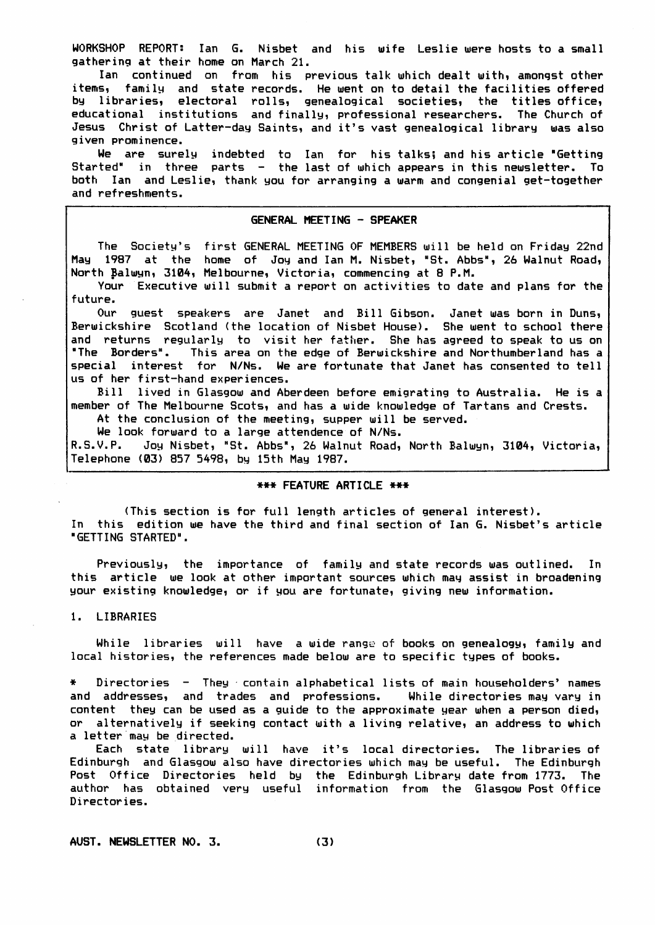WORKSHOP REPORT: Ian G. Nisbet and his wife Leslie were hosts to a small gathering at their home on March 21.

Ian continued on from his previous talk which dealt with, amongst other items, family and state records. He went on to detail the facilities offered by libraries, electoral rolls, genealogical societies, the titles office, educational institutions and finally, professional researchers. The Church of Jesus Christ of Latter-day Saints, and it's vast genealogical library was also given prominence.

We are surely indebted to Ian for his talks; and his article "Getting Started" in three parts - the last of which appears in this newsletter. To both Ian and Leslie, thank you for arranging a warm and congenial get-together and refreshments.

#### GENERAL MEETING - SPEAKER

The Society's first GENERAL MEETING OF MEMBERS will be held on Friday 22nd May 1987 at the home of Joy and Ian M. Nisbet, "St. Abbs", 26 Walnut Road, North Balwyn, 3104, Melbourne, Victoria, commencing at 8 P.M.

Your Executive will submit a report on activities to date and plans for the future.

Our guest speakers are Janet and Bill Gibson. Janet was born in Duns, Berwickshire Scotland (the location of Nisbet House). She went to school there and returns regularly to visit her father. She has agreed to speak to us on "The Borders". This area on the edge of Berwickshire and Northumberland has a special interest for N/Ns. We are fortunate that Janet has consented to tell us of her first-hand experiences.

Bill lived in Glasgow and Aberdeen before emigrating to Australia. He is a member of The Melbourne Scots, and has a wide knowledge of Tartans and Crests.

At the conclusion of the meeting, supper will be served.

We look forward to a large attendence of N/Ns.

R.S.V.P. Joy Nisbet, "St. Abbs", 26 Walnut Road, North Balwyn, 3104, Victoria, Telephone (03) 857 5498, by 15th May 1987.

## \*\*\* FEATURE ARTICLE \*\*\*

(This section is for full length articles of general interest). In this edition we have the third and final section of Ian G. Nisbet's article "GETTING STARTED".

Previously, the importance of family and state records was outlined. In this article we look at other important sources which may assist in broadening your existing knowledge, or if you are fortunate, giving new information.

1. LIBRARIES

While libraries will have a wide range of books on genealogy, family and local histories, the references made below are to specific types of books.

Directories - They contain alphabetical lists of main householders' names and addresses, and trades and professions. While directories may vary in content they can be used as a guide to the approximate year when a person died, or alternatively if seeking contact with a living relative, an address to which a letter may be directed.

Each state library will have it's local directories. The libraries of Edinburgh and Glasgow also have directories which may be useful. The Edinburgh Post Office Directories held by the Edinburgh Library date from 1773. The author has obtained very useful information from the Glasgow Post Office Directories.

AUST. NEWSLETTER NO. 3.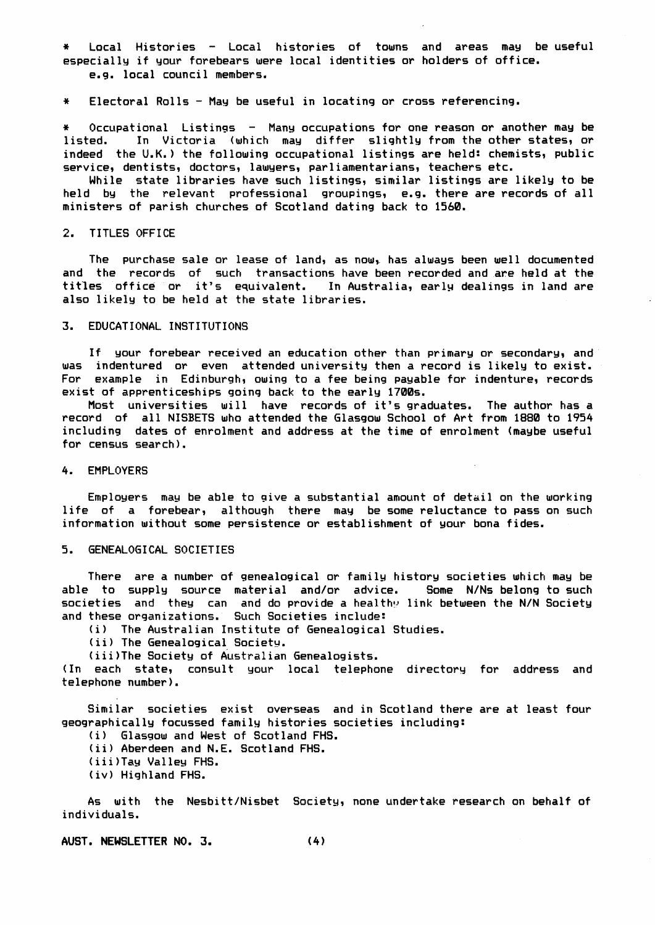\* Local Histories - Local histories of towns and areas may be useful especially if your forebears were local identities or holders of office. €.9. local council members.

\* Electoral Rolls - May be useful in locating or cross referencing.

\* Occupational Listings - Many occupations for one reason or another may be listed. In Victoria (which may differ slightly from the other states, or indeed the U.K.) the following occupational listings are held: chemists, public service, dentists, doctors, lawyers, parliamentarians, teachers etc.

While state libraries have such listings, similar listings are likely to be held by the relevant professional groupings, e.g. there are records of all ministers of parish churches of Scotland dating back to 1560.

# 2. TITLES OFFICE

The purchase sale or lease of land, as now, has always been well documented and the records of such transactions have been recorded and are held at the titles office or it's equivalent. In Australia, early dealings in land are also likelg to be held at the state libraries,

#### 3. EDUCATIONAL INSTITUTIONS

If your forebear received an education other than primary or secondary, and was indentured or even attended university then a record is likely to exist. For example in Edinburgh, owing to a fee being payable for indenture, records exist of apprenticeships going back to the earlg 1700s.

Most universities will have records of it's graduates. The author has a record of all NISBETS who attended the Glasgow School of Art from 1880 to 1954 including dates of ennolment and address at the time of enrolment (magbe useful for census search ) .

## 4. EMPLOYERS

Employers may be able to give a substantial amount of detail on the working life of a forebear, although there may be some reluctance to pass on such information without some persistence or establishment of your bona fides.

## 5. GENEALOGICAL SOCIETIES

There are a number of genealogical or family history societies which may be able to supplg Eource material and/or advice. Some N/Ns belong to such societies and they can and do provide a healthy link between the N/N Society and these organizations. Such Societies include:

(i) The Australian Institute of Genealogical Studies.

(ii) The Genealogical Society.

(iii)The Society of Australian Genealogists.

(In each state, consult your local telephone directory for address and telephone number).

Similar societies exist overseas and in Scotland there are at least four geographically focussed family histories societies including:

(i) Glasgow and West of Scotland FHS.

ii) Aberdeen and N.E. Scotland FHS.

(iii)Tay Valley FHS.

iv) Hiehland FHS.

As with the Nesbitt/Nisbet Society, none undertake research on behalf of indivi duals.

AUST. NEWSLETTER NO. 3. (4)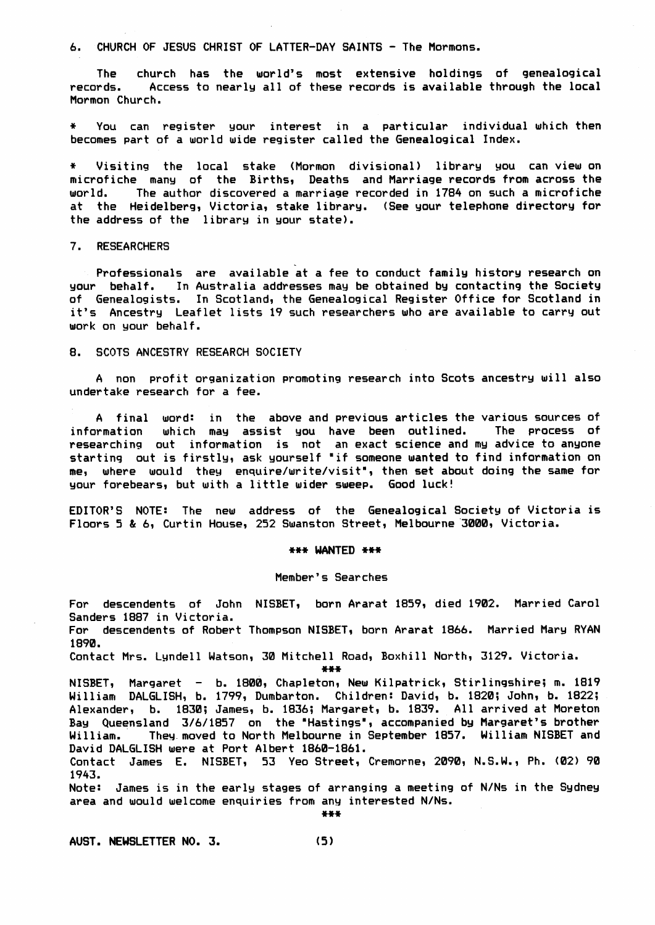# 6. CHURCH OF JESUS CHRIST OF LATTER-DAY SAINTS - The Mormons.

The church has the world's most extensive holdings of genealogical records. Access to nearly all of these records is available through the local Mormon Church.

\* You can registen gour interest in a particular individual uhich then becomes part of a world wide register called the Genealogical Index.

Visiting the local stake (Mormon divisional) library you can view on microfiche many of the Births, Deaths and Marriage records from across the world. The author discovered a marriage recorded in 1784 on such a microfiche at the Heidelberg, Victoria, stake library. (See your telephone directory for the address of the librarg in gour state).

# 7. RESEARCHERS

Professionals are available at a fee to conduct family history research on goup behalf. In Australia addresses mag be obtained bg contacting the Societg of Genealogists. In Scotland, the Genealogical Register Office for Scotland in it's Ancestry Leaflet lists 19 such researchers who are available to carry out uork on gour behalf.

## 8. SCOTS ANCESTRY RESEARCH SOCIETY

A non profit organization promoting research into Scots ancestrg uill also undertake research for a fee.

A final word: in the above and previous articles the various sources of information which may assist you have been outlined. The process of researching out information is not an exact science and my advice to anyone starting out is firstly, ask yourself "if someone wanted to find information on me, where would they enquire/write/visit", then set about doing the same for your forebears, but with a little wider sweep. Good luck!

EDITOR'S N0TE: The neu, address of the Genealogical Societg of Victoria is Floors 5 & 6, Curtin House, 252 Swanston Street, Melbourne 3000, Victoria.

#### \*\*\* WANTED \*\*\*

#### Member's Searches

For descendents of John NISBET, born Ararat 1859, died 1902. Married Carol Sanders 1887 in Victoria. For descendents of Robert Thompson NISBET, born Ararat 1866. Married Mary RYAN 1890. Contact Mrs. Lyndell Watson, 30 Mitchell Road, Boxhill North, 3129. Victoria.

\*\*\*

NISBET, Margaret - b. 1800, Chapleton, New Kilpatrick, Stirlingshire; m. 1819 William DALGLISH, b. 1799, Dumbarton. Children: David, b. 1820; John, b. 1822; Alexander, b. 1830; James, b. 1836; Margaret, b. 1839. All arrived at Moreton Bay Queensland 3/6/1857 on the "Hastings", accompanied by Margaret's brother William. They moved to North Melbourne in September 1857. William NISBET and David DALGLISH uere at Port Albert 1860-1961.

Contact James E. NISBET, 53 Yeo-Str<mark>eet,</mark> Cremorne, 2090, N.S.W., Ph. (02) 90 1943.

Note: James is in the earlg stages of arranging a meeting of N/Ns in the Sgdneg area and would welcome enquiries from any interested N/Ns.

\*\*\*

AUST. NEWSLETTER NO. 3. (5)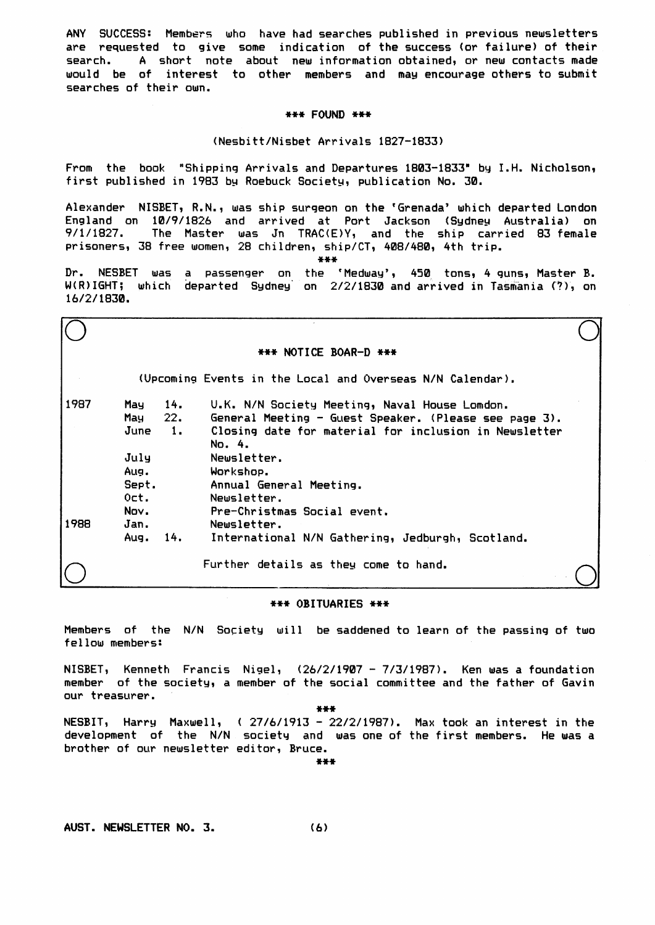ANY SUCCESS: Members who have had searches published in previous newsletters are requested to give some indication of the success (or failure) of their search. A short note about new information obtained, or new contacts made would be of interest to other members and may encourage others to submit searches of their own.

# \*\*\* FOUND \*\*\*

## (Nesbitt/Nisbet Arrivals 1827-1833)

From the book "Shipping Arrivals and Departures 1803-1833" by I.H. Nicholson, first published in 1983 by Roebuck Society, publication No. 30.

Alexander NISBET, R.N., was ship surgeon on the 'Grenada' which departed London England on 10/9/1826 and arrived at Port Jackson (Sydney Australia) on 9/1/1827. The Master was Jn TRAC(E)Y, and the ship carried 83 female prisoners, 38 free women, 28 children, ship/CT, 408/480, 4th trip.

 $***$ 

Dr. NESBET was a passenger on the 'Medway', 450 tons, 4 guns, Master B. W(R)IGHT; which departed Sydney on 2/2/1830 and arrived in Tasmania (?), on 16/2/1830.

| *** NOTICE BOAR-D *** |         |                |                                                                 |  |  |
|-----------------------|---------|----------------|-----------------------------------------------------------------|--|--|
|                       |         |                | (Upcoming Events in the Local and Overseas N/N Calendar).       |  |  |
| 1987                  | May     | 14.            | U.K. N/N Society Meeting, Naval House Lomdon.                   |  |  |
|                       | May     | 22.            | General Meeting - Guest Speaker. (Please see page 3).           |  |  |
|                       | June    | $\blacksquare$ | Closing date for material for inclusion in Newsletter<br>No. 4. |  |  |
|                       | July    |                | Newsletter.                                                     |  |  |
|                       | Aug.    |                | Workshop.                                                       |  |  |
|                       | Sept.   |                | Annual General Meeting.                                         |  |  |
|                       | $0$ ct. |                | Newsletter.                                                     |  |  |
|                       | Nov.    |                | Pre-Christmas Social event.                                     |  |  |
| 1988                  | Jan.    |                | Newsletter.                                                     |  |  |
|                       | Aug.    | 14.            | International N/N Gathering, Jedburgh, Scotland.                |  |  |
|                       |         |                | Further details as they come to hand.                           |  |  |

#### \*\*\* OBITUARIES \*\*\*

Members of the N/N Society will be saddened to learn of the passing of two fellow members:

NISBET, Kenneth Francis Nigel, (26/2/1907 - 7/3/1987). Ken was a foundation member of the society, a member of the social committee and the father of Gavin our treasurer.

\*\*\*

NESBIT, Harry Maxwell, (27/6/1913 - 22/2/1987). Max took an interest in the development of the N/N society and was one of the first members. He was a brother of our newsletter editor, Bruce.

 $+ + +$ 

AUST. NEWSLETTER NO. 3. (6)